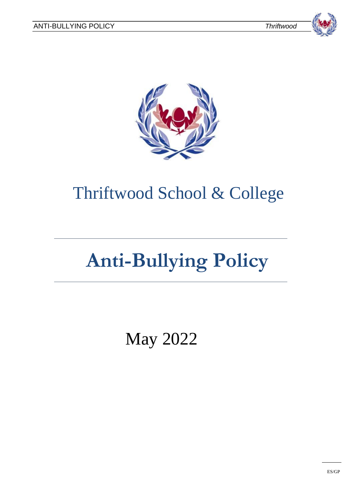





# Thriftwood School & College

# **Anti-Bullying Policy**

May 2022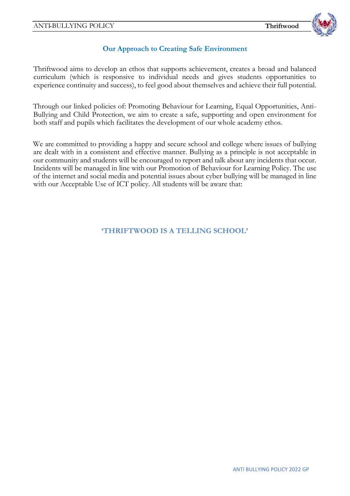

### **Our Approach to Creating Safe Environment**

Thriftwood aims to develop an ethos that supports achievement, creates a broad and balanced curriculum (which is responsive to individual needs and gives students opportunities to experience continuity and success), to feel good about themselves and achieve their full potential.

Through our linked policies of: Promoting Behaviour for Learning, Equal Opportunities, Anti-Bullying and Child Protection, we aim to create a safe, supporting and open environment for both staff and pupils which facilitates the development of our whole academy ethos.

We are committed to providing a happy and secure school and college where issues of bullying are dealt with in a consistent and effective manner. Bullying as a principle is not acceptable in our community and students will be encouraged to report and talk about any incidents that occur. Incidents will be managed in line with our Promotion of Behaviour for Learning Policy. The use of the internet and social media and potential issues about cyber bullying will be managed in line with our Acceptable Use of ICT policy. All students will be aware that:

**'THRIFTWOOD IS A TELLING SCHOOL'**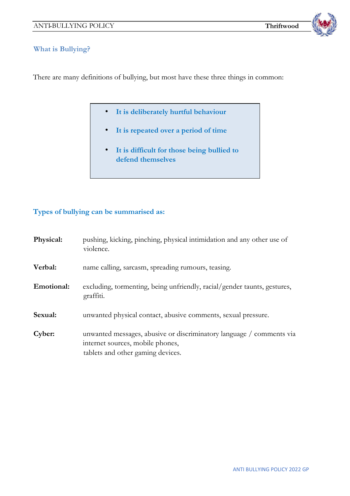

#### **What is Bullying?**

There are many definitions of bullying, but most have these three things in common:

- **It is deliberately hurtful behaviour**
- **It is repeated over a period of time**
- **It is difficult for those being bullied to defend themselves**

# **Types of bullying can be summarised as:**

| Physical:  | pushing, kicking, pinching, physical intimidation and any other use of<br>violence.                                                           |
|------------|-----------------------------------------------------------------------------------------------------------------------------------------------|
| Verbal:    | name calling, sarcasm, spreading rumours, teasing.                                                                                            |
| Emotional: | excluding, tormenting, being unfriendly, racial/gender taunts, gestures,<br>graffiti.                                                         |
| Sexual:    | unwanted physical contact, abusive comments, sexual pressure.                                                                                 |
| Cyber:     | unwanted messages, abusive or discriminatory language / comments via<br>internet sources, mobile phones,<br>tablets and other gaming devices. |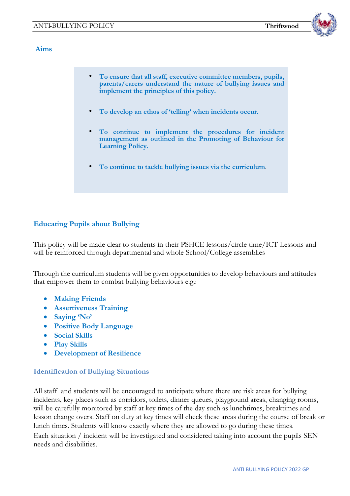

#### **Aims**

| parents/carers understand the nature of bullying issues and<br>implement the principles of this policy.                                       |  |
|-----------------------------------------------------------------------------------------------------------------------------------------------|--|
| To develop an ethos of 'telling' when incidents occur.                                                                                        |  |
| • To continue to implement the procedures for incident<br>management as outlined in the Promoting of Behaviour for<br><b>Learning Policy.</b> |  |
| To continue to tackle bullying issues via the curriculum.                                                                                     |  |

# **Educating Pupils about Bullying**

This policy will be made clear to students in their PSHCE lessons/circle time/ICT Lessons and will be reinforced through departmental and whole School/College assemblies

Through the curriculum students will be given opportunities to develop behaviours and attitudes that empower them to combat bullying behaviours e.g.:

- **Making Friends**
- **Assertiveness Training**
- **Saying 'No'**
- **Positive Body Language**
- **Social Skills**
- **Play Skills**
- **Development of Resilience**

#### **Identification of Bullying Situations**

All staff and students will be encouraged to anticipate where there are risk areas for bullying incidents, key places such as corridors, toilets, dinner queues, playground areas, changing rooms, will be carefully monitored by staff at key times of the day such as lunchtimes, breaktimes and lesson change overs. Staff on duty at key times will check these areas during the course of break or lunch times. Students will know exactly where they are allowed to go during these times. Each situation / incident will be investigated and considered taking into account the pupils SEN needs and disabilities.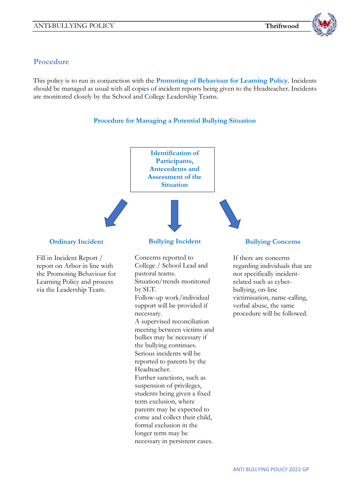

# **Procedure**

This policy is to run in conjunction with the **Promoting of Behaviour for Learning Policy**. Incidents should be managed as usual with all copies of incident reports being given to the Headteacher. Incidents are monitored closely by the School and College Leadership Teams.

#### **Procedure for Managing a Potential Bullying Situation**